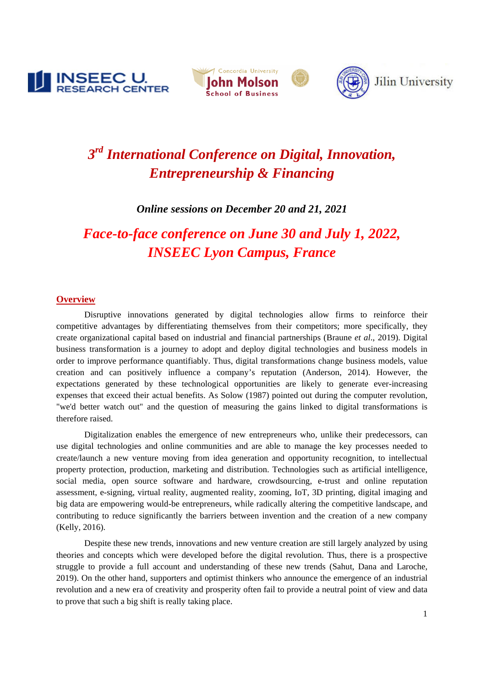





# *3rd International Conference on Digital, Innovation, Entrepreneurship & Financing*

## *Online sessions on December 20 and 21, 2021*

*Face-to-face conference on June 30 and July 1, 2022, INSEEC Lyon Campus, France*

#### **Overview**

Disruptive innovations generated by digital technologies allow firms to reinforce their competitive advantages by differentiating themselves from their competitors; more specifically, they create organizational capital based on industrial and financial partnerships (Braune *et al*., 2019). Digital business transformation is a journey to adopt and deploy digital technologies and business models in order to improve performance quantifiably. Thus, digital transformations change business models, value creation and can positively influence a company's reputation (Anderson, 2014). However, the expectations generated by these technological opportunities are likely to generate ever-increasing expenses that exceed their actual benefits. As Solow (1987) pointed out during the computer revolution, "we'd better watch out" and the question of measuring the gains linked to digital transformations is therefore raised.

Digitalization enables the emergence of new entrepreneurs who, unlike their predecessors, can use digital technologies and online communities and are able to manage the key processes needed to create/launch a new venture moving from idea generation and opportunity recognition, to intellectual property protection, production, marketing and distribution. Technologies such as artificial intelligence, social media, open source software and hardware, crowdsourcing, e-trust and online reputation assessment, e-signing, virtual reality, augmented reality, zooming, IoT, 3D printing, digital imaging and big data are empowering would-be entrepreneurs, while radically altering the competitive landscape, and contributing to reduce significantly the barriers between invention and the creation of a new company (Kelly, 2016).

 Despite these new trends, innovations and new venture creation are still largely analyzed by using theories and concepts which were developed before the digital revolution. Thus, there is a prospective struggle to provide a full account and understanding of these new trends (Sahut, Dana and Laroche, 2019). On the other hand, supporters and optimist thinkers who announce the emergence of an industrial revolution and a new era of creativity and prosperity often fail to provide a neutral point of view and data to prove that such a big shift is really taking place.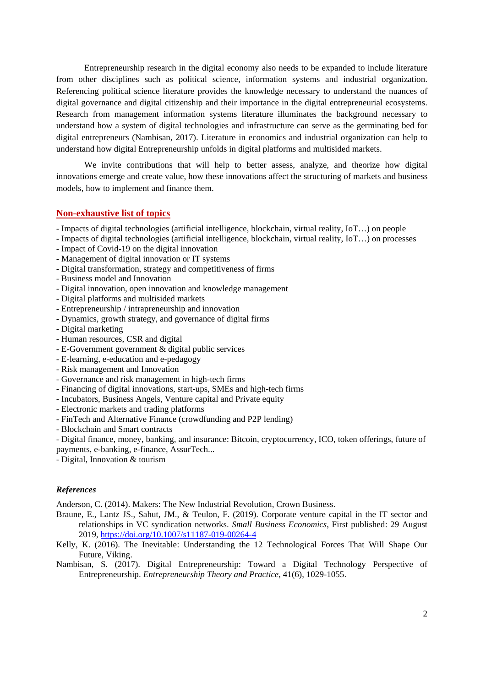Entrepreneurship research in the digital economy also needs to be expanded to include literature from other disciplines such as political science, information systems and industrial organization. Referencing political science literature provides the knowledge necessary to understand the nuances of digital governance and digital citizenship and their importance in the digital entrepreneurial ecosystems. Research from management information systems literature illuminates the background necessary to understand how a system of digital technologies and infrastructure can serve as the germinating bed for digital entrepreneurs (Nambisan, 2017). Literature in economics and industrial organization can help to understand how digital Entrepreneurship unfolds in digital platforms and multisided markets.

 We invite contributions that will help to better assess, analyze, and theorize how digital innovations emerge and create value, how these innovations affect the structuring of markets and business models, how to implement and finance them.

#### **Non-exhaustive list of topics**

- Impacts of digital technologies (artificial intelligence, blockchain, virtual reality, IoT…) on people
- Impacts of digital technologies (artificial intelligence, blockchain, virtual reality, IoT…) on processes
- Impact of Covid-19 on the digital innovation
- Management of digital innovation or IT systems
- Digital transformation, strategy and competitiveness of firms
- Business model and Innovation
- Digital innovation, open innovation and knowledge management
- Digital platforms and multisided markets
- Entrepreneurship / intrapreneurship and innovation
- Dynamics, growth strategy, and governance of digital firms
- Digital marketing
- Human resources, CSR and digital
- E-Government government & digital public services
- E-learning, e-education and e-pedagogy
- Risk management and Innovation
- Governance and risk management in high-tech firms
- Financing of digital innovations, start-ups, SMEs and high-tech firms
- Incubators, Business Angels, Venture capital and Private equity
- Electronic markets and trading platforms
- FinTech and Alternative Finance (crowdfunding and P2P lending)
- Blockchain and Smart contracts
- Digital finance, money, banking, and insurance: Bitcoin, cryptocurrency, ICO, token offerings, future of payments, e-banking, e-finance, AssurTech...
- Digital, Innovation & tourism

#### *References*

Anderson, C. (2014). Makers: The New Industrial Revolution, Crown Business.

- Braune, E., Lantz JS., Sahut, JM., & Teulon, F. (2019). Corporate venture capital in the IT sector and relationships in VC syndication networks. *Small Business Economics*, First published: 29 August 2019, https://doi.org/10.1007/s11187-019-00264-4
- Kelly, K. (2016). The Inevitable: Understanding the 12 Technological Forces That Will Shape Our Future, Viking.
- Nambisan, S. (2017). Digital Entrepreneurship: Toward a Digital Technology Perspective of Entrepreneurship. *Entrepreneurship Theory and Practice*, 41(6), 1029-1055.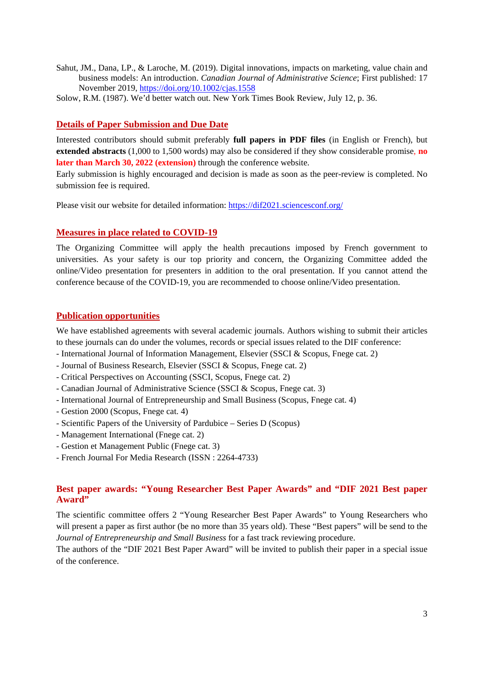- Sahut, JM., Dana, LP., & Laroche, M. (2019). Digital innovations, impacts on marketing, value chain and business models: An introduction. *Canadian Journal of Administrative Science*; First published: 17 November 2019, https://doi.org/10.1002/cjas.1558
- Solow, R.M. (1987). We'd better watch out. New York Times Book Review, July 12, p. 36.

## **Details of Paper Submission and Due Date**

Interested contributors should submit preferably **full papers in PDF files** (in English or French), but **extended abstracts** (1,000 to 1,500 words) may also be considered if they show considerable promise, **no later than March 30, 2022 (extension)** through the conference website.

Early submission is highly encouraged and decision is made as soon as the peer-review is completed. No submission fee is required.

Please visit our website for detailed information: https://dif2021.sciencesconf.org/

#### **Measures in place related to COVID-19**

The Organizing Committee will apply the health precautions imposed by French government to universities. As your safety is our top priority and concern, the Organizing Committee added the online/Video presentation for presenters in addition to the oral presentation. If you cannot attend the conference because of the COVID-19, you are recommended to choose online/Video presentation.

#### **Publication opportunities**

We have established agreements with several academic journals. Authors wishing to submit their articles to these journals can do under the volumes, records or special issues related to the DIF conference:

- International Journal of Information Management, Elsevier (SSCI & Scopus, Fnege cat. 2)
- Journal of Business Research, Elsevier (SSCI & Scopus, Fnege cat. 2)
- Critical Perspectives on Accounting (SSCI, Scopus, Fnege cat. 2)
- Canadian Journal of Administrative Science (SSCI & Scopus, Fnege cat. 3)
- International Journal of Entrepreneurship and Small Business (Scopus, Fnege cat. 4)
- Gestion 2000 (Scopus, Fnege cat. 4)
- Scientific Papers of the University of Pardubice Series D (Scopus)
- Management International (Fnege cat. 2)
- Gestion et Management Public (Fnege cat. 3)
- French Journal For Media Research (ISSN : 2264-4733)

## **Best paper awards: "Young Researcher Best Paper Awards" and "DIF 2021 Best paper Award"**

The scientific committee offers 2 "Young Researcher Best Paper Awards" to Young Researchers who will present a paper as first author (be no more than 35 years old). These "Best papers" will be send to the *Journal of Entrepreneurship and Small Business* for a fast track reviewing procedure.

The authors of the "DIF 2021 Best Paper Award" will be invited to publish their paper in a special issue of the conference.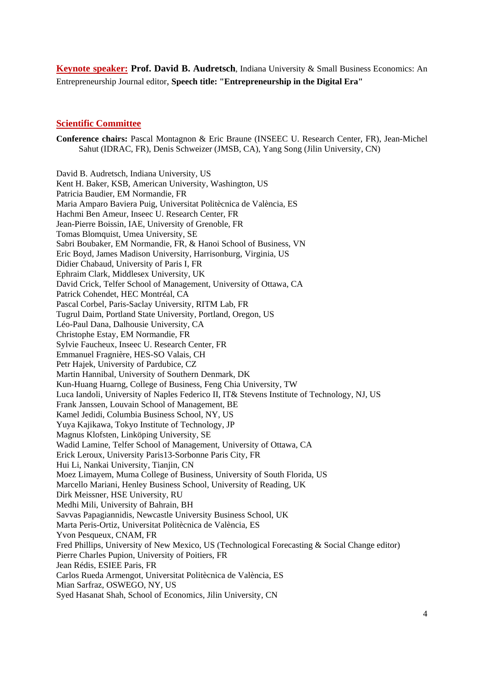**Keynote speaker: Prof. David B. Audretsch**, Indiana University & Small Business Economics: An Entrepreneurship Journal editor, **Speech title: "Entrepreneurship in the Digital Era"**

#### **Scientific Committee**

**Conference chairs:** Pascal Montagnon & Eric Braune (INSEEC U. Research Center, FR), Jean-Michel Sahut (IDRAC, FR), Denis Schweizer (JMSB, CA), Yang Song (Jilin University, CN)

David B. Audretsch, Indiana University, US Kent H. Baker, KSB, American University, Washington, US Patricia Baudier, EM Normandie, FR Maria Amparo Baviera Puig, Universitat Politècnica de València, ES Hachmi Ben Ameur, Inseec U. Research Center, FR Jean-Pierre Boissin, IAE, University of Grenoble, FR Tomas Blomquist, Umea University, SE Sabri Boubaker, EM Normandie, FR, & Hanoi School of Business, VN Eric Boyd, James Madison University, Harrisonburg, Virginia, US Didier Chabaud, University of Paris I, FR Ephraim Clark, Middlesex University, UK David Crick, Telfer School of Management, University of Ottawa, CA Patrick Cohendet, HEC Montréal, CA Pascal Corbel, Paris-Saclay University, RITM Lab, FR Tugrul Daim, Portland State University, Portland, Oregon, US Léo-Paul Dana, Dalhousie University, CA Christophe Estay, EM Normandie, FR Sylvie Faucheux, Inseec U. Research Center, FR Emmanuel Fragnière, HES-SO Valais, CH Petr Hajek, University of Pardubice, CZ Martin Hannibal, University of Southern Denmark, DK Kun-Huang Huarng, College of Business, Feng Chia University, TW Luca Iandoli, University of Naples Federico II, IT& Stevens Institute of Technology, NJ, US Frank Janssen, Louvain School of Management, BE Kamel Jedidi, Columbia Business School, NY, US Yuya Kajikawa, Tokyo Institute of Technology, JP Magnus Klofsten, Linköping University, SE Wadid Lamine, Telfer School of Management, University of Ottawa, CA Erick Leroux, University Paris13-Sorbonne Paris City, FR Hui Li, Nankai University, Tianjin, CN Moez Limayem, Muma College of Business, University of South Florida, US Marcello Mariani, Henley Business School, University of Reading, UK Dirk Meissner, HSE University, RU Medhi Mili, University of Bahrain, BH Savvas Papagiannidis, Newcastle University Business School, UK Marta Peris-Ortiz, Universitat Politècnica de València, ES Yvon Pesqueux, CNAM, FR Fred Phillips, University of New Mexico, US (Technological Forecasting & Social Change editor) Pierre Charles Pupion, University of Poitiers, FR Jean Rédis, ESIEE Paris, FR Carlos Rueda Armengot, Universitat Politècnica de València, ES Mian Sarfraz, OSWEGO, NY, US Syed Hasanat Shah, School of Economics, Jilin University, CN